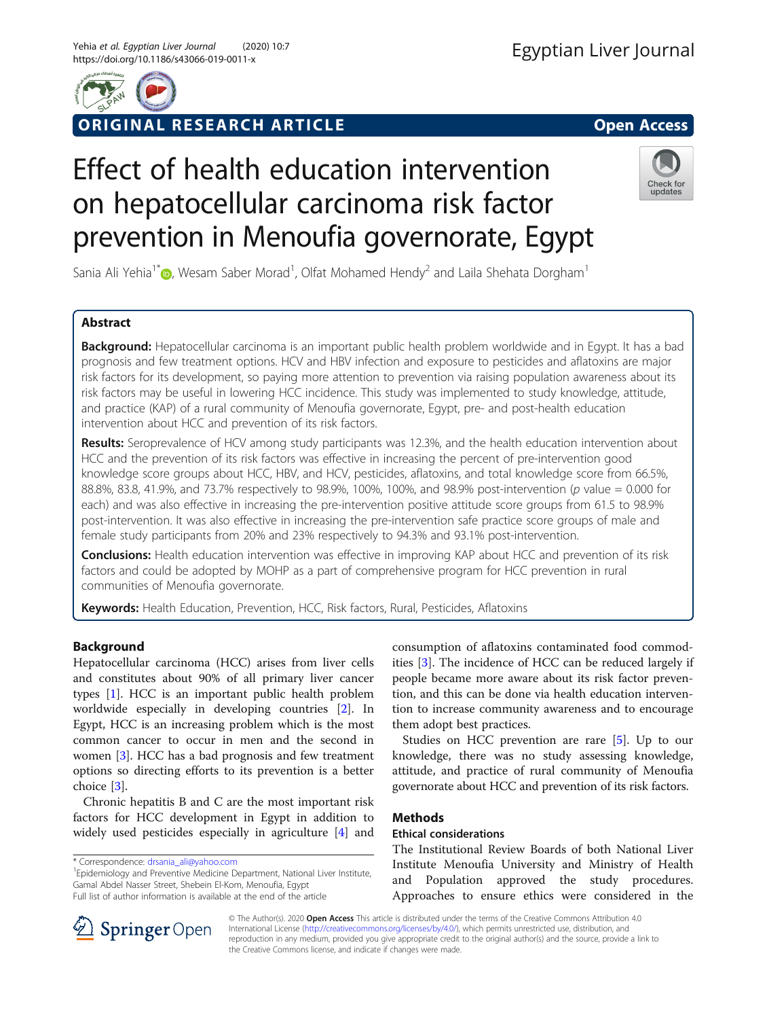

## ORIGINAL RESEARCH ARTICLE **EXECUTED ACCESS**

# Effect of health education intervention on hepatocellular carcinoma risk factor prevention in Menoufia governorate, Egypt



Sania Ali Yehia $1^*$ D[,](http://orcid.org/0000-0002-3503-955X) Wesam Saber Morad $^1$ , Olfat Mohamed Hendy $^2$  and Laila Shehata Dorgham $^1$ 

## Abstract

Background: Hepatocellular carcinoma is an important public health problem worldwide and in Egypt. It has a bad prognosis and few treatment options. HCV and HBV infection and exposure to pesticides and aflatoxins are major risk factors for its development, so paying more attention to prevention via raising population awareness about its risk factors may be useful in lowering HCC incidence. This study was implemented to study knowledge, attitude, and practice (KAP) of a rural community of Menoufia governorate, Egypt, pre- and post-health education intervention about HCC and prevention of its risk factors.

Results: Seroprevalence of HCV among study participants was 12.3%, and the health education intervention about HCC and the prevention of its risk factors was effective in increasing the percent of pre-intervention good knowledge score groups about HCC, HBV, and HCV, pesticides, aflatoxins, and total knowledge score from 66.5%, 88.8%, 83.8, 41.9%, and 73.7% respectively to 98.9%, 100%, 100%, and 98.9% post-intervention (p value = 0.000 for each) and was also effective in increasing the pre-intervention positive attitude score groups from 61.5 to 98.9% post-intervention. It was also effective in increasing the pre-intervention safe practice score groups of male and female study participants from 20% and 23% respectively to 94.3% and 93.1% post-intervention.

Conclusions: Health education intervention was effective in improving KAP about HCC and prevention of its risk factors and could be adopted by MOHP as a part of comprehensive program for HCC prevention in rural communities of Menoufia governorate.

Keywords: Health Education, Prevention, HCC, Risk factors, Rural, Pesticides, Aflatoxins

## Background

Hepatocellular carcinoma (HCC) arises from liver cells and constitutes about 90% of all primary liver cancer types [\[1](#page-6-0)]. HCC is an important public health problem worldwide especially in developing countries [[2\]](#page-6-0). In Egypt, HCC is an increasing problem which is the most common cancer to occur in men and the second in women [[3\]](#page-6-0). HCC has a bad prognosis and few treatment options so directing efforts to its prevention is a better choice [[3\]](#page-6-0).

Chronic hepatitis B and C are the most important risk factors for HCC development in Egypt in addition to widely used pesticides especially in agriculture [[4\]](#page-6-0) and

\* Correspondence: [drsania\\_ali@yahoo.com](mailto:drsania_ali@yahoo.com) <sup>1</sup>

<sup>1</sup> Epidemiology and Preventive Medicine Department, National Liver Institute, Gamal Abdel Nasser Street, Shebein El-Kom, Menoufia, Egypt Full list of author information is available at the end of the article

consumption of aflatoxins contaminated food commodities [[3](#page-6-0)]. The incidence of HCC can be reduced largely if people became more aware about its risk factor prevention, and this can be done via health education intervention to increase community awareness and to encourage them adopt best practices.

Studies on HCC prevention are rare [[5\]](#page-6-0). Up to our knowledge, there was no study assessing knowledge, attitude, and practice of rural community of Menoufia governorate about HCC and prevention of its risk factors.

## Methods

## Ethical considerations

The Institutional Review Boards of both National Liver Institute Menoufia University and Ministry of Health and Population approved the study procedures. Approaches to ensure ethics were considered in the



© The Author(s). 2020 Open Access This article is distributed under the terms of the Creative Commons Attribution 4.0 International License ([http://creativecommons.org/licenses/by/4.0/\)](http://creativecommons.org/licenses/by/4.0/), which permits unrestricted use, distribution, and reproduction in any medium, provided you give appropriate credit to the original author(s) and the source, provide a link to the Creative Commons license, and indicate if changes were made.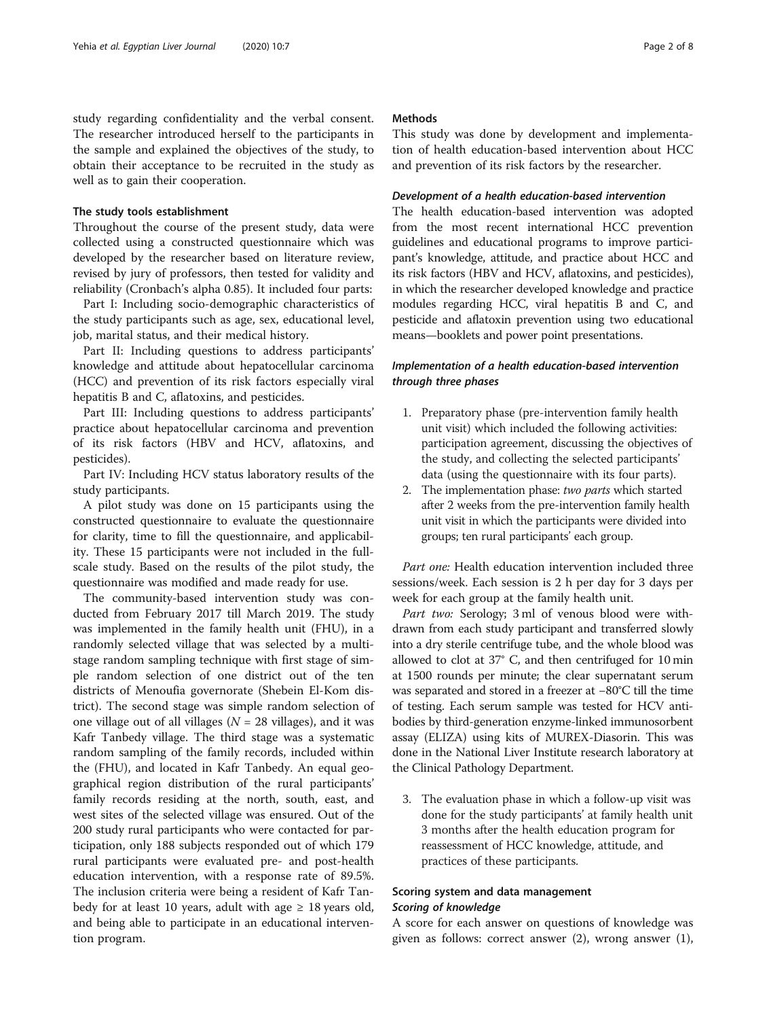study regarding confidentiality and the verbal consent. The researcher introduced herself to the participants in the sample and explained the objectives of the study, to obtain their acceptance to be recruited in the study as well as to gain their cooperation.

#### The study tools establishment

Throughout the course of the present study, data were collected using a constructed questionnaire which was developed by the researcher based on literature review, revised by jury of professors, then tested for validity and reliability (Cronbach's alpha 0.85). It included four parts:

Part I: Including socio-demographic characteristics of the study participants such as age, sex, educational level, job, marital status, and their medical history.

Part II: Including questions to address participants' knowledge and attitude about hepatocellular carcinoma (HCC) and prevention of its risk factors especially viral hepatitis B and C, aflatoxins, and pesticides.

Part III: Including questions to address participants' practice about hepatocellular carcinoma and prevention of its risk factors (HBV and HCV, aflatoxins, and pesticides).

Part IV: Including HCV status laboratory results of the study participants.

A pilot study was done on 15 participants using the constructed questionnaire to evaluate the questionnaire for clarity, time to fill the questionnaire, and applicability. These 15 participants were not included in the fullscale study. Based on the results of the pilot study, the questionnaire was modified and made ready for use.

The community-based intervention study was conducted from February 2017 till March 2019. The study was implemented in the family health unit (FHU), in a randomly selected village that was selected by a multistage random sampling technique with first stage of simple random selection of one district out of the ten districts of Menoufia governorate (Shebein El-Kom district). The second stage was simple random selection of one village out of all villages ( $N = 28$  villages), and it was Kafr Tanbedy village. The third stage was a systematic random sampling of the family records, included within the (FHU), and located in Kafr Tanbedy. An equal geographical region distribution of the rural participants' family records residing at the north, south, east, and west sites of the selected village was ensured. Out of the 200 study rural participants who were contacted for participation, only 188 subjects responded out of which 179 rural participants were evaluated pre- and post-health education intervention, with a response rate of 89.5%. The inclusion criteria were being a resident of Kafr Tanbedy for at least 10 years, adult with age  $\geq 18$  years old, and being able to participate in an educational intervention program.

## Methods

This study was done by development and implementation of health education-based intervention about HCC and prevention of its risk factors by the researcher.

#### Development of a health education-based intervention

The health education-based intervention was adopted from the most recent international HCC prevention guidelines and educational programs to improve participant's knowledge, attitude, and practice about HCC and its risk factors (HBV and HCV, aflatoxins, and pesticides), in which the researcher developed knowledge and practice modules regarding HCC, viral hepatitis B and C, and pesticide and aflatoxin prevention using two educational means—booklets and power point presentations.

## Implementation of a health education-based intervention through three phases

- 1. Preparatory phase (pre-intervention family health unit visit) which included the following activities: participation agreement, discussing the objectives of the study, and collecting the selected participants' data (using the questionnaire with its four parts).
- 2. The implementation phase: two parts which started after 2 weeks from the pre-intervention family health unit visit in which the participants were divided into groups; ten rural participants' each group.

Part one: Health education intervention included three sessions/week. Each session is 2 h per day for 3 days per week for each group at the family health unit.

Part two: Serology; 3 ml of venous blood were withdrawn from each study participant and transferred slowly into a dry sterile centrifuge tube, and the whole blood was allowed to clot at 37° C, and then centrifuged for 10 min at 1500 rounds per minute; the clear supernatant serum was separated and stored in a freezer at −80°C till the time of testing. Each serum sample was tested for HCV antibodies by third-generation enzyme-linked immunosorbent assay (ELIZA) using kits of MUREX-Diasorin. This was done in the National Liver Institute research laboratory at the Clinical Pathology Department.

3. The evaluation phase in which a follow-up visit was done for the study participants' at family health unit 3 months after the health education program for reassessment of HCC knowledge, attitude, and practices of these participants.

## Scoring system and data management Scoring of knowledge

A score for each answer on questions of knowledge was given as follows: correct answer (2), wrong answer (1),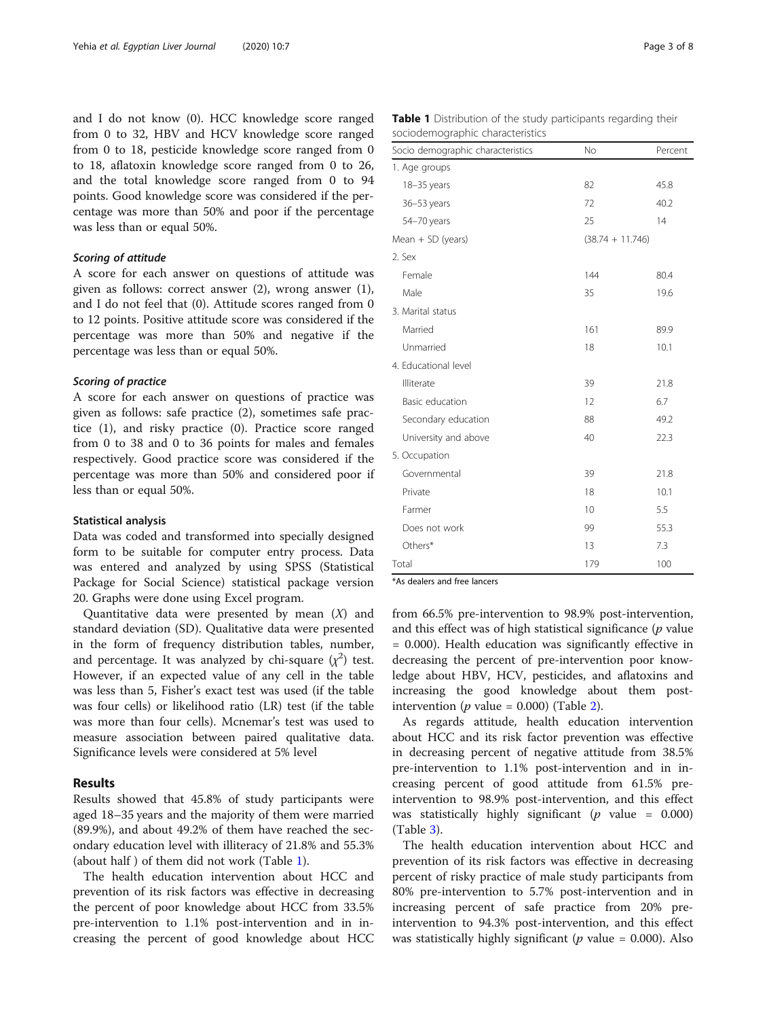and I do not know (0). HCC knowledge score ranged from 0 to 32, HBV and HCV knowledge score ranged from 0 to 18, pesticide knowledge score ranged from 0 to 18, aflatoxin knowledge score ranged from 0 to 26, and the total knowledge score ranged from 0 to 94 points. Good knowledge score was considered if the percentage was more than 50% and poor if the percentage was less than or equal 50%.

## Scoring of attitude

A score for each answer on questions of attitude was given as follows: correct answer (2), wrong answer (1), and I do not feel that (0). Attitude scores ranged from 0 to 12 points. Positive attitude score was considered if the percentage was more than 50% and negative if the percentage was less than or equal 50%.

#### Scoring of practice

A score for each answer on questions of practice was given as follows: safe practice (2), sometimes safe practice (1), and risky practice (0). Practice score ranged from 0 to 38 and 0 to 36 points for males and females respectively. Good practice score was considered if the percentage was more than 50% and considered poor if less than or equal 50%.

#### Statistical analysis

Data was coded and transformed into specially designed form to be suitable for computer entry process. Data was entered and analyzed by using SPSS (Statistical Package for Social Science) statistical package version 20. Graphs were done using Excel program.

Quantitative data were presented by mean  $(X)$  and standard deviation (SD). Qualitative data were presented in the form of frequency distribution tables, number, and percentage. It was analyzed by chi-square  $(\chi^2)$  test. However, if an expected value of any cell in the table was less than 5, Fisher's exact test was used (if the table was four cells) or likelihood ratio (LR) test (if the table was more than four cells). Mcnemar's test was used to measure association between paired qualitative data. Significance levels were considered at 5% level

#### Results

Results showed that 45.8% of study participants were aged 18–35 years and the majority of them were married (89.9%), and about 49.2% of them have reached the secondary education level with illiteracy of 21.8% and 55.3% (about half ) of them did not work (Table 1).

The health education intervention about HCC and prevention of its risk factors was effective in decreasing the percent of poor knowledge about HCC from 33.5% pre-intervention to 1.1% post-intervention and in increasing the percent of good knowledge about HCC

| Socio demographic characteristics | No                 | Percent |  |
|-----------------------------------|--------------------|---------|--|
| 1. Age groups                     |                    |         |  |
| 18-35 years                       | 82                 | 45.8    |  |
| 36-53 years                       | 72                 | 40.2    |  |
| 54-70 years                       | 25                 | 14      |  |
| Mean $+$ SD (years)               | $(38.74 + 11.746)$ |         |  |
| 2. Sex                            |                    |         |  |
| Female                            | 144                | 80.4    |  |
| Male                              | 35                 | 19.6    |  |
| 3. Marital status                 |                    |         |  |
| Married                           | 161                | 89.9    |  |
| Unmarried                         | 18                 | 10.1    |  |
| 4. Educational level              |                    |         |  |
| Illiterate                        | 39                 | 21.8    |  |
| Basic education                   | 12                 | 6.7     |  |
| Secondary education               | 88                 | 49.2    |  |
| University and above              | 40                 | 22.3    |  |
| 5. Occupation                     |                    |         |  |
| Governmental                      | 39                 | 21.8    |  |
| Private                           | 18                 | 10.1    |  |
| Farmer                            | 10                 | 5.5     |  |
| Does not work                     | 99                 | 55.3    |  |
| Others*                           | 13                 | 7.3     |  |
| Total                             | 179                | 100     |  |

\*As dealers and free lancers

from 66.5% pre-intervention to 98.9% post-intervention, and this effect was of high statistical significance  $(p \text{ value})$ = 0.000). Health education was significantly effective in decreasing the percent of pre-intervention poor knowledge about HBV, HCV, pesticides, and aflatoxins and increasing the good knowledge about them postintervention (*p* value = 0.000) (Table [2](#page-3-0)).

As regards attitude, health education intervention about HCC and its risk factor prevention was effective in decreasing percent of negative attitude from 38.5% pre-intervention to 1.1% post-intervention and in increasing percent of good attitude from 61.5% preintervention to 98.9% post-intervention, and this effect was statistically highly significant ( $p$  value = 0.000) (Table [3\)](#page-3-0).

The health education intervention about HCC and prevention of its risk factors was effective in decreasing percent of risky practice of male study participants from 80% pre-intervention to 5.7% post-intervention and in increasing percent of safe practice from 20% preintervention to 94.3% post-intervention, and this effect was statistically highly significant ( $p$  value = 0.000). Also

| <b>Table 1</b> Distribution of the study participants regarding their |  |  |  |
|-----------------------------------------------------------------------|--|--|--|
| sociodemographic characteristics                                      |  |  |  |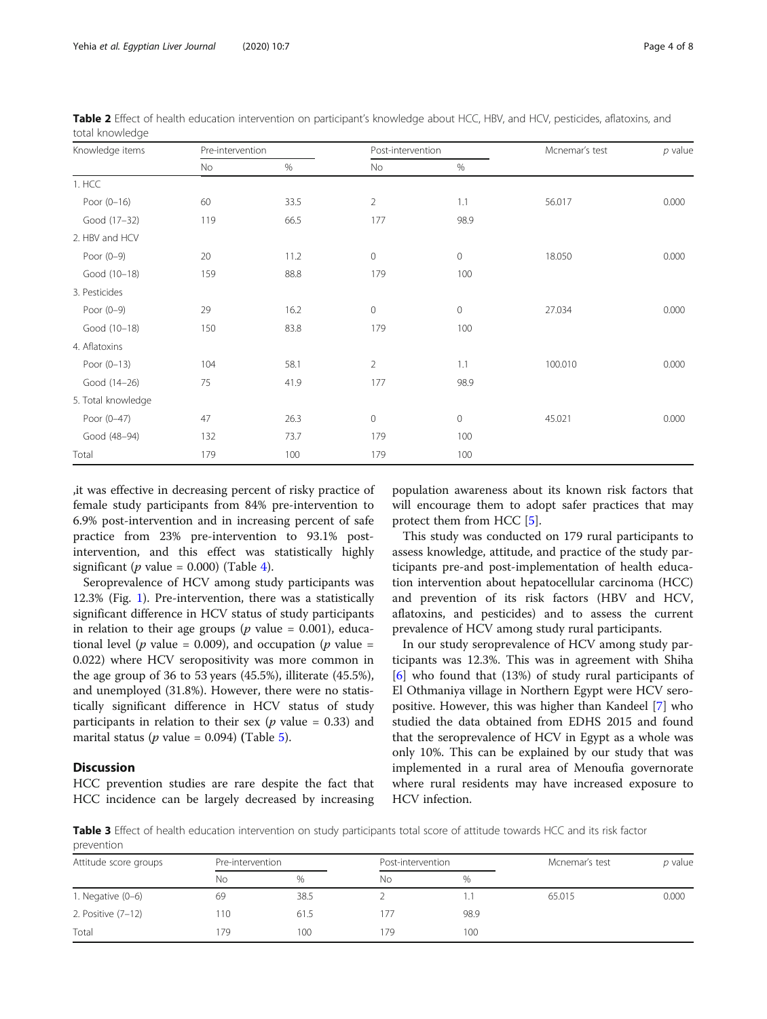| Knowledge items    | Pre-intervention |      | Post-intervention   |                     | Mcnemar's test | $p$ value |
|--------------------|------------------|------|---------------------|---------------------|----------------|-----------|
|                    | No               | $\%$ | No                  | $\%$                |                |           |
| 1. HCC             |                  |      |                     |                     |                |           |
| Poor $(0-16)$      | 60               | 33.5 | $\overline{2}$      | 1.1                 | 56.017         | 0.000     |
| Good (17-32)       | 119              | 66.5 | 177                 | 98.9                |                |           |
| 2. HBV and HCV     |                  |      |                     |                     |                |           |
| Poor $(0-9)$       | 20               | 11.2 | $\mathsf{O}\xspace$ | $\mathsf{O}\xspace$ | 18.050         | 0.000     |
| Good (10-18)       | 159              | 88.8 | 179                 | 100                 |                |           |
| 3. Pesticides      |                  |      |                     |                     |                |           |
| Poor $(0-9)$       | 29               | 16.2 | $\mathsf{O}\xspace$ | $\mathsf{O}\xspace$ | 27.034         | 0.000     |
| Good (10-18)       | 150              | 83.8 | 179                 | 100                 |                |           |
| 4. Aflatoxins      |                  |      |                     |                     |                |           |
| Poor $(0-13)$      | 104              | 58.1 | $\overline{2}$      | 1.1                 | 100.010        | 0.000     |
| Good (14-26)       | 75               | 41.9 | 177                 | 98.9                |                |           |
| 5. Total knowledge |                  |      |                     |                     |                |           |
| Poor (0-47)        | 47               | 26.3 | $\mathsf{O}\xspace$ | $\mathsf{O}\xspace$ | 45.021         | 0.000     |
| Good (48-94)       | 132              | 73.7 | 179                 | 100                 |                |           |
| Total              | 179              | 100  | 179                 | 100                 |                |           |

<span id="page-3-0"></span>Table 2 Effect of health education intervention on participant's knowledge about HCC, HBV, and HCV, pesticides, aflatoxins, and total knowledge

,it was effective in decreasing percent of risky practice of female study participants from 84% pre-intervention to 6.9% post-intervention and in increasing percent of safe practice from 23% pre-intervention to 93.1% postintervention, and this effect was statistically highly significant (*p* value = 0.000) (Table [4](#page-4-0)).

Seroprevalence of HCV among study participants was 12.3% (Fig. [1\)](#page-4-0). Pre-intervention, there was a statistically significant difference in HCV status of study participants in relation to their age groups ( $p$  value = 0.001), educational level (*p* value = 0.009), and occupation (*p* value = 0.022) where HCV seropositivity was more common in the age group of 36 to 53 years (45.5%), illiterate (45.5%), and unemployed (31.8%). However, there were no statistically significant difference in HCV status of study participants in relation to their sex ( $p$  value = 0.33) and marital status ( $p$  value = 0.094) (Table [5](#page-5-0)).

### **Discussion**

HCC prevention studies are rare despite the fact that HCC incidence can be largely decreased by increasing

population awareness about its known risk factors that will encourage them to adopt safer practices that may protect them from HCC [[5](#page-6-0)].

This study was conducted on 179 rural participants to assess knowledge, attitude, and practice of the study participants pre-and post-implementation of health education intervention about hepatocellular carcinoma (HCC) and prevention of its risk factors (HBV and HCV, aflatoxins, and pesticides) and to assess the current prevalence of HCV among study rural participants.

In our study seroprevalence of HCV among study participants was 12.3%. This was in agreement with Shiha [[6\]](#page-6-0) who found that (13%) of study rural participants of El Othmaniya village in Northern Egypt were HCV seropositive. However, this was higher than Kandeel [[7\]](#page-6-0) who studied the data obtained from EDHS 2015 and found that the seroprevalence of HCV in Egypt as a whole was only 10%. This can be explained by our study that was implemented in a rural area of Menoufia governorate where rural residents may have increased exposure to HCV infection.

Table 3 Effect of health education intervention on study participants total score of attitude towards HCC and its risk factor

| prevention            |                  |      |                   |      |                |           |  |  |
|-----------------------|------------------|------|-------------------|------|----------------|-----------|--|--|
| Attitude score groups | Pre-intervention |      | Post-intervention |      | Mcnemar's test | $p$ value |  |  |
|                       | No               | %    | No.               | %    |                |           |  |  |
| 1. Negative $(0-6)$   | 69               | 38.5 |                   |      | 65.015         | 0.000     |  |  |
| 2. Positive (7-12)    | 110              | 61.5 | 177               | 98.9 |                |           |  |  |
| Total                 | 179              | 100  | 179               | 100  |                |           |  |  |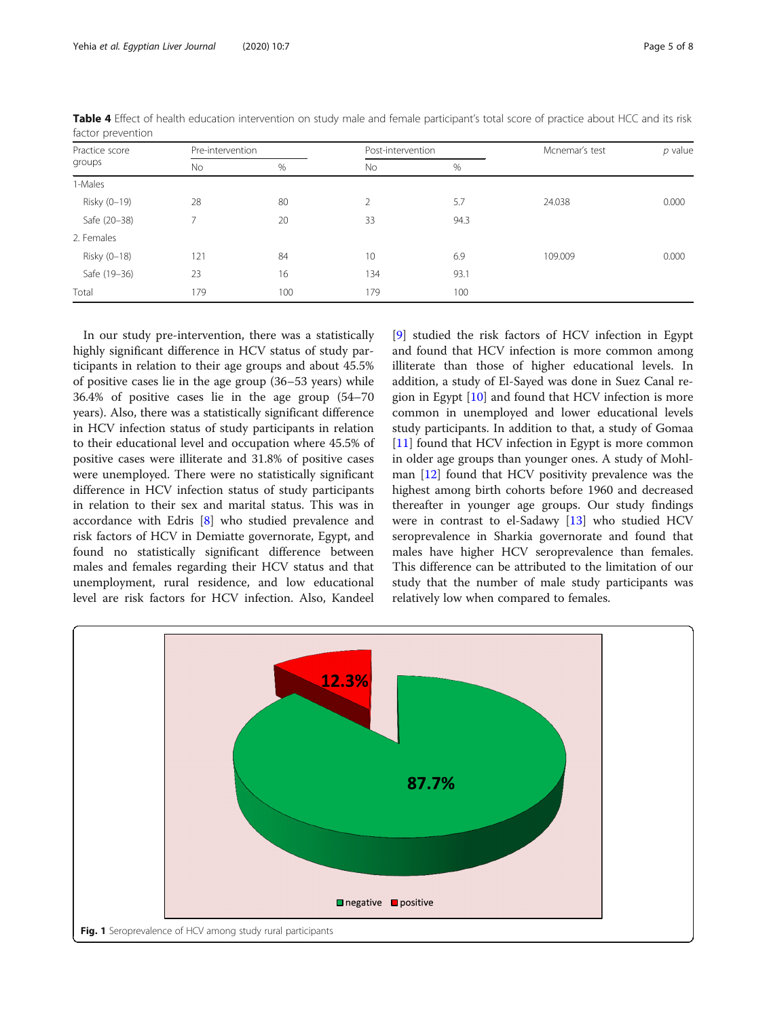| Practice score<br>groups<br>No. | Pre-intervention |      | Post-intervention |      | Mcnemar's test | $p$ value |
|---------------------------------|------------------|------|-------------------|------|----------------|-----------|
|                                 |                  | $\%$ | No                | %    |                |           |
| 1-Males                         |                  |      |                   |      |                |           |
| Risky (0-19)                    | 28               | 80   | 2                 | 5.7  | 24.038         | 0.000     |
| Safe (20-38)                    | 7                | 20   | 33                | 94.3 |                |           |
| 2. Females                      |                  |      |                   |      |                |           |
| Risky (0-18)                    | 121              | 84   | 10                | 6.9  | 109.009        | 0.000     |
| Safe (19-36)                    | 23               | 16   | 134               | 93.1 |                |           |
| Total                           | 179              | 100  | 179               | 100  |                |           |

<span id="page-4-0"></span>Table 4 Effect of health education intervention on study male and female participant's total score of practice about HCC and its risk factor prevention

In our study pre-intervention, there was a statistically highly significant difference in HCV status of study participants in relation to their age groups and about 45.5% of positive cases lie in the age group (36–53 years) while 36.4% of positive cases lie in the age group (54–70 years). Also, there was a statistically significant difference in HCV infection status of study participants in relation to their educational level and occupation where 45.5% of positive cases were illiterate and 31.8% of positive cases were unemployed. There were no statistically significant difference in HCV infection status of study participants in relation to their sex and marital status. This was in accordance with Edris [\[8](#page-6-0)] who studied prevalence and risk factors of HCV in Demiatte governorate, Egypt, and found no statistically significant difference between males and females regarding their HCV status and that unemployment, rural residence, and low educational level are risk factors for HCV infection. Also, Kandeel

[[9\]](#page-7-0) studied the risk factors of HCV infection in Egypt and found that HCV infection is more common among illiterate than those of higher educational levels. In addition, a study of El-Sayed was done in Suez Canal region in Egypt [\[10](#page-7-0)] and found that HCV infection is more common in unemployed and lower educational levels study participants. In addition to that, a study of Gomaa [[11\]](#page-7-0) found that HCV infection in Egypt is more common in older age groups than younger ones. A study of Mohlman [[12\]](#page-7-0) found that HCV positivity prevalence was the highest among birth cohorts before 1960 and decreased thereafter in younger age groups. Our study findings were in contrast to el-Sadawy [[13](#page-7-0)] who studied HCV seroprevalence in Sharkia governorate and found that males have higher HCV seroprevalence than females. This difference can be attributed to the limitation of our study that the number of male study participants was relatively low when compared to females.

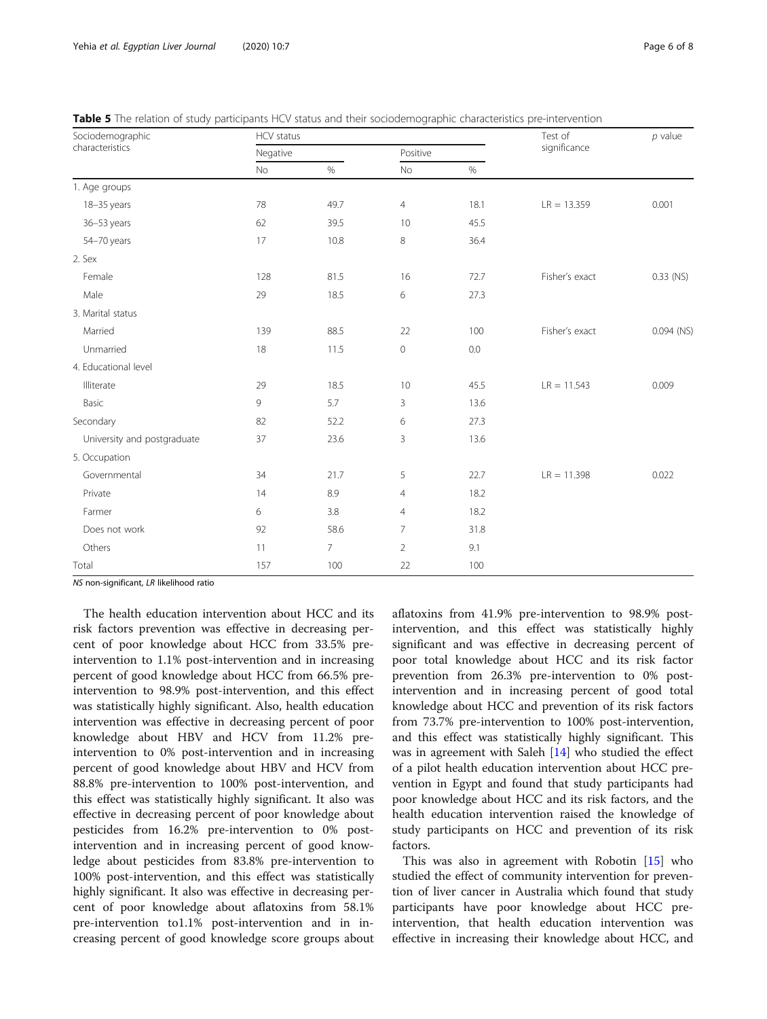<span id="page-5-0"></span>

| Table 5 The relation of study participants HCV status and their sociodemographic characteristics pre-intervention |  |
|-------------------------------------------------------------------------------------------------------------------|--|
|-------------------------------------------------------------------------------------------------------------------|--|

| Sociodemographic            | HCV status |                 |                |      | Test of        | $p$ value    |
|-----------------------------|------------|-----------------|----------------|------|----------------|--------------|
| characteristics             | Negative   |                 |                |      | significance   |              |
|                             | <b>No</b>  | $\%$            | No             | $\%$ |                |              |
| 1. Age groups               |            |                 |                |      |                |              |
| 18-35 years                 | 78         | 49.7            | $\overline{4}$ | 18.1 | $LR = 13.359$  | 0.001        |
| 36-53 years                 | 62         | 39.5            | 10             | 45.5 |                |              |
| 54-70 years                 | 17         | 10.8            | 8              | 36.4 |                |              |
| 2. Sex                      |            |                 |                |      |                |              |
| Female                      | 128        | 81.5            | 16             | 72.7 | Fisher's exact | 0.33 (NS)    |
| Male                        | 29         | 18.5            | 6              | 27.3 |                |              |
| 3. Marital status           |            |                 |                |      |                |              |
| Married                     | 139        | 88.5            | 22             | 100  | Fisher's exact | $0.094$ (NS) |
| Unmarried                   | 18         | 11.5            | $\circ$        | 0.0  |                |              |
| 4. Educational level        |            |                 |                |      |                |              |
| Illiterate                  | 29         | 18.5            | 10             | 45.5 | $LR = 11.543$  | 0.009        |
| Basic                       | 9          | 5.7             | 3              | 13.6 |                |              |
| Secondary                   | 82         | 52.2            | 6              | 27.3 |                |              |
| University and postgraduate | 37         | 23.6            | 3              | 13.6 |                |              |
| 5. Occupation               |            |                 |                |      |                |              |
| Governmental                | 34         | 21.7            | 5              | 22.7 | $LR = 11.398$  | 0.022        |
| Private                     | 14         | 8.9             | $\overline{4}$ | 18.2 |                |              |
| Farmer                      | 6          | 3.8             | $\overline{4}$ | 18.2 |                |              |
| Does not work               | 92         | 58.6            | $\overline{7}$ | 31.8 |                |              |
| Others                      | 11         | $7\overline{ }$ | $\overline{2}$ | 9.1  |                |              |
| Total                       | 157        | 100             | 22             | 100  |                |              |

NS non-significant, LR likelihood ratio

The health education intervention about HCC and its risk factors prevention was effective in decreasing percent of poor knowledge about HCC from 33.5% preintervention to 1.1% post-intervention and in increasing percent of good knowledge about HCC from 66.5% preintervention to 98.9% post-intervention, and this effect was statistically highly significant. Also, health education intervention was effective in decreasing percent of poor knowledge about HBV and HCV from 11.2% preintervention to 0% post-intervention and in increasing percent of good knowledge about HBV and HCV from 88.8% pre-intervention to 100% post-intervention, and this effect was statistically highly significant. It also was effective in decreasing percent of poor knowledge about pesticides from 16.2% pre-intervention to 0% postintervention and in increasing percent of good knowledge about pesticides from 83.8% pre-intervention to 100% post-intervention, and this effect was statistically highly significant. It also was effective in decreasing percent of poor knowledge about aflatoxins from 58.1% pre-intervention to1.1% post-intervention and in increasing percent of good knowledge score groups about

aflatoxins from 41.9% pre-intervention to 98.9% postintervention, and this effect was statistically highly significant and was effective in decreasing percent of poor total knowledge about HCC and its risk factor prevention from 26.3% pre-intervention to 0% postintervention and in increasing percent of good total knowledge about HCC and prevention of its risk factors from 73.7% pre-intervention to 100% post-intervention, and this effect was statistically highly significant. This was in agreement with Saleh [\[14\]](#page-7-0) who studied the effect of a pilot health education intervention about HCC prevention in Egypt and found that study participants had poor knowledge about HCC and its risk factors, and the health education intervention raised the knowledge of study participants on HCC and prevention of its risk factors.

This was also in agreement with Robotin [\[15\]](#page-7-0) who studied the effect of community intervention for prevention of liver cancer in Australia which found that study participants have poor knowledge about HCC preintervention, that health education intervention was effective in increasing their knowledge about HCC, and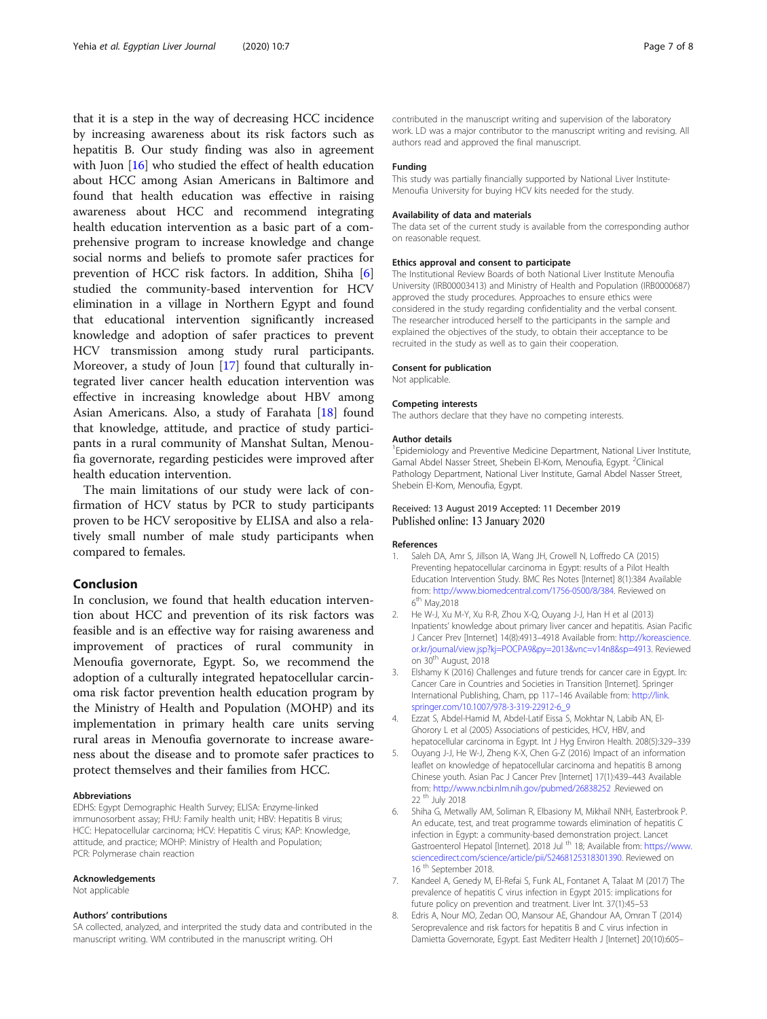<span id="page-6-0"></span>that it is a step in the way of decreasing HCC incidence by increasing awareness about its risk factors such as hepatitis B. Our study finding was also in agreement with Juon [\[16](#page-7-0)] who studied the effect of health education about HCC among Asian Americans in Baltimore and found that health education was effective in raising awareness about HCC and recommend integrating health education intervention as a basic part of a comprehensive program to increase knowledge and change social norms and beliefs to promote safer practices for prevention of HCC risk factors. In addition, Shiha [6] studied the community-based intervention for HCV elimination in a village in Northern Egypt and found that educational intervention significantly increased knowledge and adoption of safer practices to prevent HCV transmission among study rural participants. Moreover, a study of Joun [\[17](#page-7-0)] found that culturally integrated liver cancer health education intervention was effective in increasing knowledge about HBV among Asian Americans. Also, a study of Farahata [\[18](#page-7-0)] found that knowledge, attitude, and practice of study participants in a rural community of Manshat Sultan, Menoufia governorate, regarding pesticides were improved after health education intervention.

The main limitations of our study were lack of confirmation of HCV status by PCR to study participants proven to be HCV seropositive by ELISA and also a relatively small number of male study participants when compared to females.

## Conclusion

In conclusion, we found that health education intervention about HCC and prevention of its risk factors was feasible and is an effective way for raising awareness and improvement of practices of rural community in Menoufia governorate, Egypt. So, we recommend the adoption of a culturally integrated hepatocellular carcinoma risk factor prevention health education program by the Ministry of Health and Population (MOHP) and its implementation in primary health care units serving rural areas in Menoufia governorate to increase awareness about the disease and to promote safer practices to protect themselves and their families from HCC.

#### Abbreviations

EDHS: Egypt Demographic Health Survey; ELISA: Enzyme-linked immunosorbent assay; FHU: Family health unit; HBV: Hepatitis B virus; HCC: Hepatocellular carcinoma; HCV: Hepatitis C virus; KAP: Knowledge, attitude, and practice; MOHP: Ministry of Health and Population; PCR: Polymerase chain reaction

#### Acknowledgements

Not applicable

#### Authors' contributions

SA collected, analyzed, and interprited the study data and contributed in the manuscript writing. WM contributed in the manuscript writing. OH

contributed in the manuscript writing and supervision of the laboratory work. LD was a major contributor to the manuscript writing and revising. All authors read and approved the final manuscript.

#### Funding

This study was partially financially supported by National Liver Institute-Menoufia University for buying HCV kits needed for the study.

#### Availability of data and materials

The data set of the current study is available from the corresponding author on reasonable request.

#### Ethics approval and consent to participate

The Institutional Review Boards of both National Liver Institute Menoufia University (IRB00003413) and Ministry of Health and Population (IRB0000687) approved the study procedures. Approaches to ensure ethics were considered in the study regarding confidentiality and the verbal consent. The researcher introduced herself to the participants in the sample and explained the objectives of the study, to obtain their acceptance to be recruited in the study as well as to gain their cooperation.

#### Consent for publication

Not applicable.

#### Competing interests

The authors declare that they have no competing interests.

#### Author details

<sup>1</sup> Epidemiology and Preventive Medicine Department, National Liver Institute, Gamal Abdel Nasser Street, Shebein El-Kom, Menoufia, Egypt. <sup>2</sup>Clinical Pathology Department, National Liver Institute, Gamal Abdel Nasser Street, Shebein El-Kom, Menoufia, Egypt.

#### Received: 13 August 2019 Accepted: 11 December 2019 Published online: 13 January 2020

#### References

- Saleh DA, Amr S, Jillson IA, Wang JH, Crowell N, Loffredo CA (2015) Preventing hepatocellular carcinoma in Egypt: results of a Pilot Health Education Intervention Study. BMC Res Notes [Internet] 8(1):384 Available from: [http://www.biomedcentral.com/1756-0500/8/384.](http://www.biomedcentral.com/1756-0500/8/384) Reviewed on  $6<sup>th</sup>$  May, 2018
- 2. He W-J, Xu M-Y, Xu R-R, Zhou X-Q, Ouyang J-J, Han H et al (2013) Inpatients' knowledge about primary liver cancer and hepatitis. Asian Pacific J Cancer Prev [Internet] 14(8):4913–4918 Available from: [http://koreascience.](http://koreascience.or.kr/journal/view.jsp?kj=POCPA9&py=2013&vnc=v14n8&sp=4913) [or.kr/journal/view.jsp?kj=POCPA9&py=2013&vnc=v14n8&sp=4913.](http://koreascience.or.kr/journal/view.jsp?kj=POCPA9&py=2013&vnc=v14n8&sp=4913) Reviewed on 30th August, 2018
- Elshamy K (2016) Challenges and future trends for cancer care in Egypt. In: Cancer Care in Countries and Societies in Transition [Internet]. Springer International Publishing, Cham, pp 117–146 Available from: [http://link.](http://link.springer.com/10.1007/978-3-319-22912-6_9) [springer.com/10.1007/978-3-319-22912-6\\_9](http://link.springer.com/10.1007/978-3-319-22912-6_9)
- 4. Ezzat S, Abdel-Hamid M, Abdel-Latif Eissa S, Mokhtar N, Labib AN, El-Ghorory L et al (2005) Associations of pesticides, HCV, HBV, and hepatocellular carcinoma in Egypt. Int J Hyg Environ Health. 208(5):329–339
- 5. Ouyang J-J, He W-J, Zheng K-X, Chen G-Z (2016) Impact of an information leaflet on knowledge of hepatocellular carcinoma and hepatitis B among Chinese youth. Asian Pac J Cancer Prev [Internet] 17(1):439–443 Available from: <http://www.ncbi.nlm.nih.gov/pubmed/26838252> .Reviewed on 22 th July 2018
- 6. Shiha G, Metwally AM, Soliman R, Elbasiony M, Mikhail NNH, Easterbrook P. An educate, test, and treat programme towards elimination of hepatitis C infection in Egypt: a community-based demonstration project. Lancet Gastroenterol Hepatol [Internet]. 2018 Jul <sup>th</sup> 18; Available from: [https://www.](https://www.sciencedirect.com/science/article/pii/S2468125318301390) [sciencedirect.com/science/article/pii/S2468125318301390.](https://www.sciencedirect.com/science/article/pii/S2468125318301390) Reviewed on 16<sup>th</sup> September 2018.
- 7. Kandeel A, Genedy M, El-Refai S, Funk AL, Fontanet A, Talaat M (2017) The prevalence of hepatitis C virus infection in Egypt 2015: implications for future policy on prevention and treatment. Liver Int. 37(1):45–53
- 8. Edris A, Nour MO, Zedan OO, Mansour AE, Ghandour AA, Omran T (2014) Seroprevalence and risk factors for hepatitis B and C virus infection in Damietta Governorate, Egypt. East Mediterr Health J [Internet] 20(10):605–